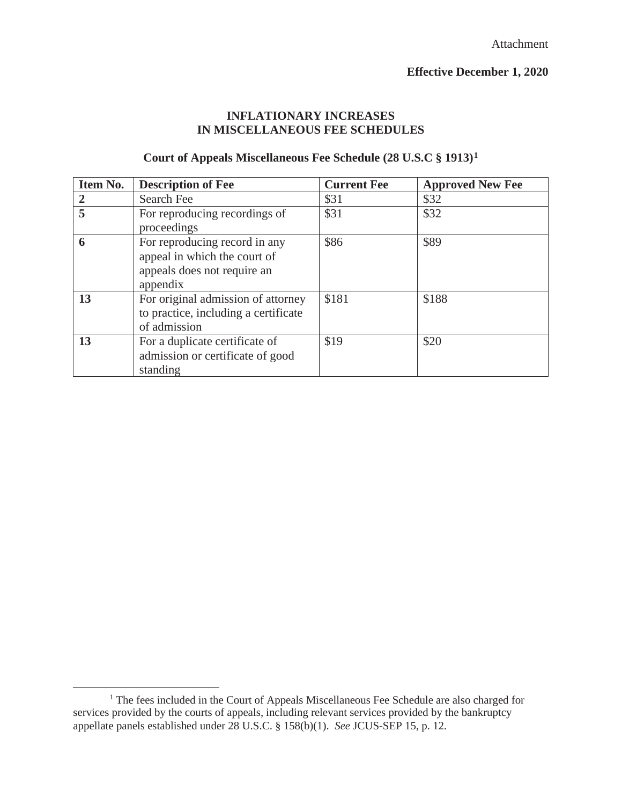#### **INFLATIONARY INCREASES IN MISCELLANEOUS FEE SCHEDULES**

#### **Court of Appeals Miscellaneous Fee Schedule (28 U.S.C § 1913)1**

| Item No.       | <b>Description of Fee</b>                                                                                | <b>Current Fee</b> | <b>Approved New Fee</b> |
|----------------|----------------------------------------------------------------------------------------------------------|--------------------|-------------------------|
| $\overline{2}$ | Search Fee                                                                                               | \$31               | \$32                    |
| 5              | For reproducing recordings of<br>proceedings                                                             | \$31               | \$32                    |
| 6              | For reproducing record in any<br>appeal in which the court of<br>appeals does not require an<br>appendix | \$86               | \$89                    |
| 13             | For original admission of attorney<br>to practice, including a certificate<br>of admission               | \$181              | \$188                   |
| 13             | For a duplicate certificate of<br>admission or certificate of good<br>standing                           | \$19               | \$20                    |

<sup>&</sup>lt;sup>1</sup> The fees included in the Court of Appeals Miscellaneous Fee Schedule are also charged for services provided by the courts of appeals, including relevant services provided by the bankruptcy appellate panels established under 28 U.S.C. § 158(b)(1). *See* JCUS-SEP 15, p. 12.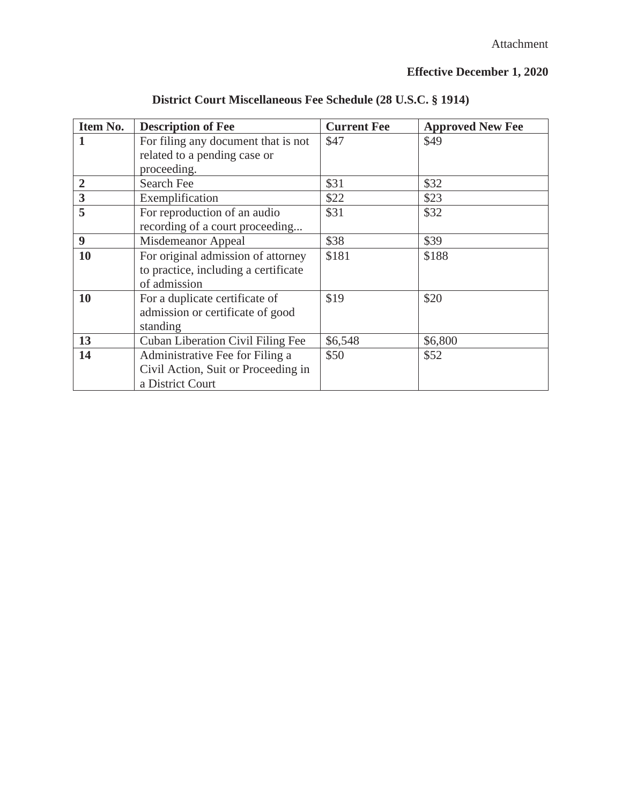| Item No.                | <b>Description of Fee</b>                | <b>Current Fee</b> | <b>Approved New Fee</b> |
|-------------------------|------------------------------------------|--------------------|-------------------------|
| 1                       | For filing any document that is not      | \$47               | \$49                    |
|                         | related to a pending case or             |                    |                         |
|                         | proceeding.                              |                    |                         |
| $\overline{2}$          | Search Fee                               | \$31               | \$32                    |
| $\overline{\mathbf{3}}$ | Exemplification                          | \$22               | \$23                    |
| 5                       | For reproduction of an audio             | \$31               | \$32                    |
|                         | recording of a court proceeding          |                    |                         |
| 9                       | Misdemeanor Appeal                       | \$38               | \$39                    |
| 10                      | For original admission of attorney       | \$181              | \$188                   |
|                         | to practice, including a certificate     |                    |                         |
|                         | of admission                             |                    |                         |
| <b>10</b>               | For a duplicate certificate of           | \$19               | \$20                    |
|                         | admission or certificate of good         |                    |                         |
|                         | standing                                 |                    |                         |
| 13                      | <b>Cuban Liberation Civil Filing Fee</b> | \$6,548            | \$6,800                 |
| 14                      | Administrative Fee for Filing a          | \$50               | \$52                    |
|                         | Civil Action, Suit or Proceeding in      |                    |                         |
|                         | a District Court                         |                    |                         |

**District Court Miscellaneous Fee Schedule (28 U.S.C. § 1914)**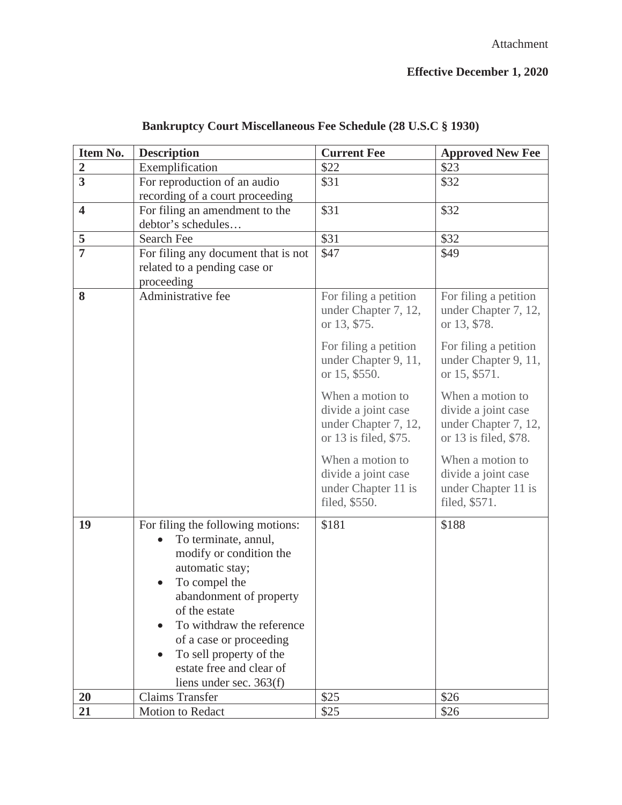| Item No.                | <b>Description</b>                                  | <b>Current Fee</b>                         | <b>Approved New Fee</b>                    |
|-------------------------|-----------------------------------------------------|--------------------------------------------|--------------------------------------------|
| $\boldsymbol{2}$        | Exemplification                                     | \$22                                       | \$23                                       |
| $\overline{3}$          | For reproduction of an audio                        | \$31                                       | \$32                                       |
|                         | recording of a court proceeding                     |                                            |                                            |
| $\overline{\mathbf{4}}$ | For filing an amendment to the                      | \$31                                       | \$32                                       |
|                         | debtor's schedules                                  |                                            |                                            |
| 5                       | Search Fee                                          | \$31                                       | \$32                                       |
| $\overline{7}$          | For filing any document that is not                 | \$47                                       | \$49                                       |
|                         | related to a pending case or                        |                                            |                                            |
|                         | proceeding                                          |                                            |                                            |
| 8                       | Administrative fee                                  | For filing a petition                      | For filing a petition                      |
|                         |                                                     | under Chapter 7, 12,                       | under Chapter 7, 12,                       |
|                         |                                                     | or 13, \$75.                               | or 13, \$78.                               |
|                         |                                                     | For filing a petition                      | For filing a petition                      |
|                         |                                                     | under Chapter 9, 11,                       | under Chapter 9, 11,                       |
|                         |                                                     | or 15, \$550.                              | or 15, \$571.                              |
|                         |                                                     | When a motion to                           | When a motion to                           |
|                         |                                                     | divide a joint case                        | divide a joint case                        |
|                         |                                                     | under Chapter 7, 12,                       | under Chapter 7, 12,                       |
|                         |                                                     | or 13 is filed, \$75.                      | or 13 is filed, \$78.                      |
|                         |                                                     |                                            |                                            |
|                         |                                                     | When a motion to                           | When a motion to                           |
|                         |                                                     | divide a joint case<br>under Chapter 11 is | divide a joint case<br>under Chapter 11 is |
|                         |                                                     | filed, \$550.                              | filed, \$571.                              |
|                         |                                                     |                                            |                                            |
| 19                      | For filing the following motions:                   | \$181                                      | \$188                                      |
|                         | To terminate, annul,                                |                                            |                                            |
|                         | modify or condition the                             |                                            |                                            |
|                         | automatic stay;                                     |                                            |                                            |
|                         | To compel the                                       |                                            |                                            |
|                         | abandonment of property                             |                                            |                                            |
|                         | of the estate                                       |                                            |                                            |
|                         | To withdraw the reference                           |                                            |                                            |
|                         | of a case or proceeding                             |                                            |                                            |
|                         | To sell property of the<br>estate free and clear of |                                            |                                            |
|                         |                                                     |                                            |                                            |
| 20                      |                                                     |                                            |                                            |
|                         | liens under sec. $363(f)$<br><b>Claims Transfer</b> | \$25                                       | \$26                                       |

# **Bankruptcy Court Miscellaneous Fee Schedule (28 U.S.C § 1930)**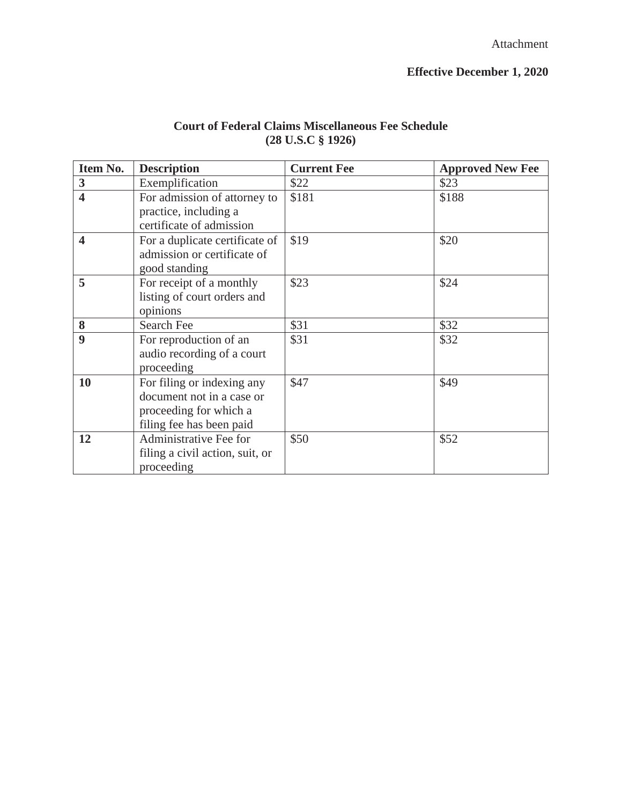| <b>Court of Federal Claims Miscellaneous Fee Schedule</b> |
|-----------------------------------------------------------|
| $(28 \text{ U.S. C} \S 1926)$                             |

| Item No.                | <b>Description</b>                                                                                            | <b>Current Fee</b> | <b>Approved New Fee</b> |
|-------------------------|---------------------------------------------------------------------------------------------------------------|--------------------|-------------------------|
| 3                       | Exemplification                                                                                               | \$22               | \$23                    |
| $\overline{\mathbf{4}}$ | For admission of attorney to<br>practice, including a<br>certificate of admission                             | \$181              | \$188                   |
| 4                       | For a duplicate certificate of<br>admission or certificate of<br>good standing                                | \$19               | \$20                    |
| 5                       | For receipt of a monthly<br>listing of court orders and<br>opinions                                           | \$23               | \$24                    |
| 8                       | Search Fee                                                                                                    | \$31               | \$32                    |
| $\boldsymbol{9}$        | For reproduction of an<br>audio recording of a court<br>proceeding                                            | \$31               | \$32                    |
| 10                      | For filing or indexing any<br>document not in a case or<br>proceeding for which a<br>filing fee has been paid | \$47               | \$49                    |
| 12                      | Administrative Fee for<br>filing a civil action, suit, or<br>proceeding                                       | \$50               | \$52                    |